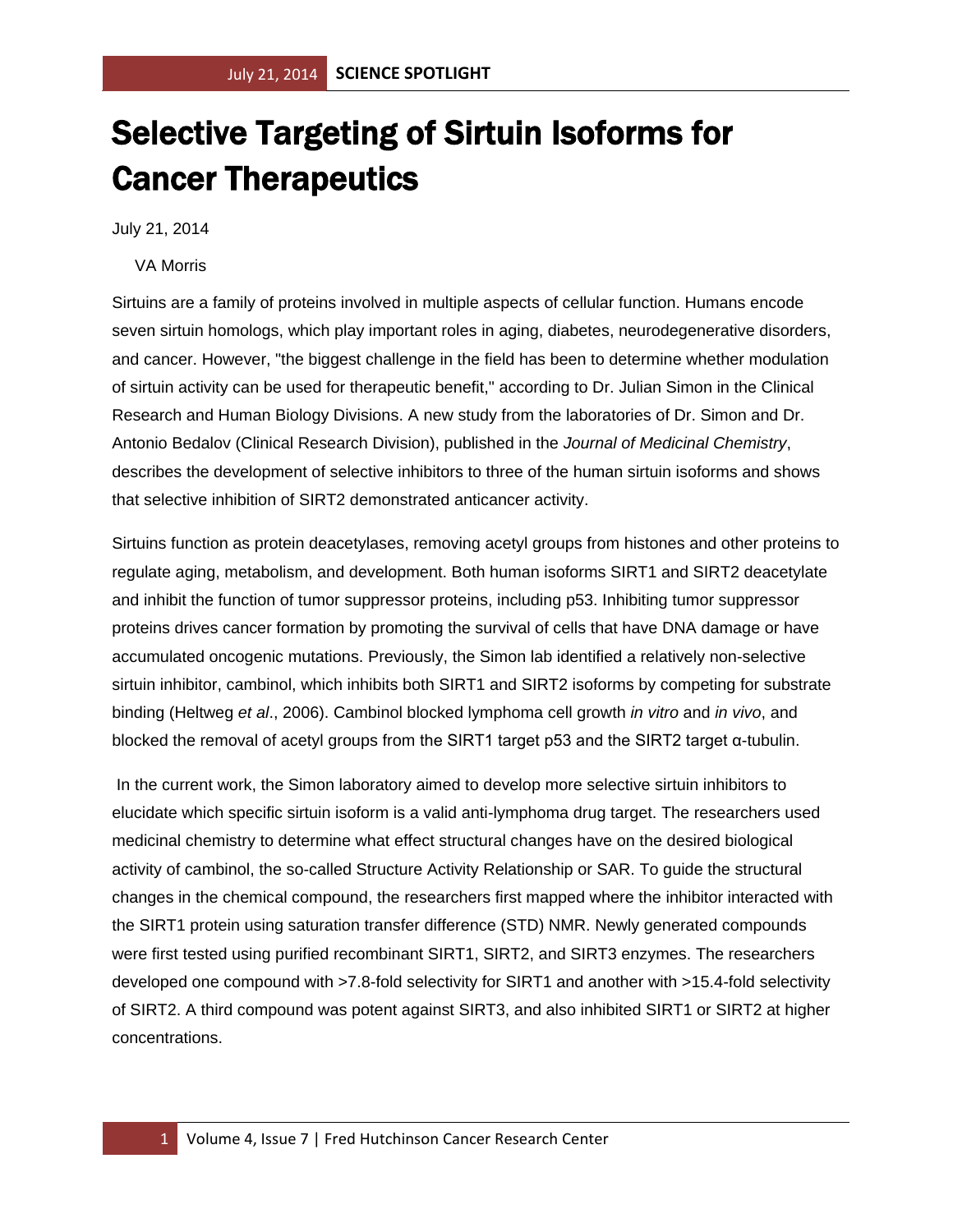## Selective Targeting of Sirtuin Isoforms for Cancer Therapeutics

July 21, 2014

VA Morris

Sirtuins are a family of proteins involved in multiple aspects of cellular function. Humans encode seven sirtuin homologs, which play important roles in aging, diabetes, neurodegenerative disorders, and cancer. However, "the biggest challenge in the field has been to determine whether modulation of sirtuin activity can be used for therapeutic benefit," according to Dr. Julian Simon in the Clinical Research and Human Biology Divisions. A new study from the laboratories of Dr. Simon and Dr. Antonio Bedalov (Clinical Research Division), published in the *Journal of Medicinal Chemistry*, describes the development of selective inhibitors to three of the human sirtuin isoforms and shows that selective inhibition of SIRT2 demonstrated anticancer activity.

Sirtuins function as protein deacetylases, removing acetyl groups from histones and other proteins to regulate aging, metabolism, and development. Both human isoforms SIRT1 and SIRT2 deacetylate and inhibit the function of tumor suppressor proteins, including p53. Inhibiting tumor suppressor proteins drives cancer formation by promoting the survival of cells that have DNA damage or have accumulated oncogenic mutations. Previously, the Simon lab identified a relatively non-selective sirtuin inhibitor, cambinol, which inhibits both SIRT1 and SIRT2 isoforms by competing for substrate binding (Heltweg *et al*., 2006). Cambinol blocked lymphoma cell growth *in vitro* and *in vivo*, and blocked the removal of acetyl groups from the SIRT1 target p53 and the SIRT2 target α-tubulin.

In the current work, the Simon laboratory aimed to develop more selective sirtuin inhibitors to elucidate which specific sirtuin isoform is a valid anti-lymphoma drug target. The researchers used medicinal chemistry to determine what effect structural changes have on the desired biological activity of cambinol, the so-called Structure Activity Relationship or SAR. To guide the structural changes in the chemical compound, the researchers first mapped where the inhibitor interacted with the SIRT1 protein using saturation transfer difference (STD) NMR. Newly generated compounds were first tested using purified recombinant SIRT1, SIRT2, and SIRT3 enzymes. The researchers developed one compound with >7.8-fold selectivity for SIRT1 and another with >15.4-fold selectivity of SIRT2. A third compound was potent against SIRT3, and also inhibited SIRT1 or SIRT2 at higher concentrations.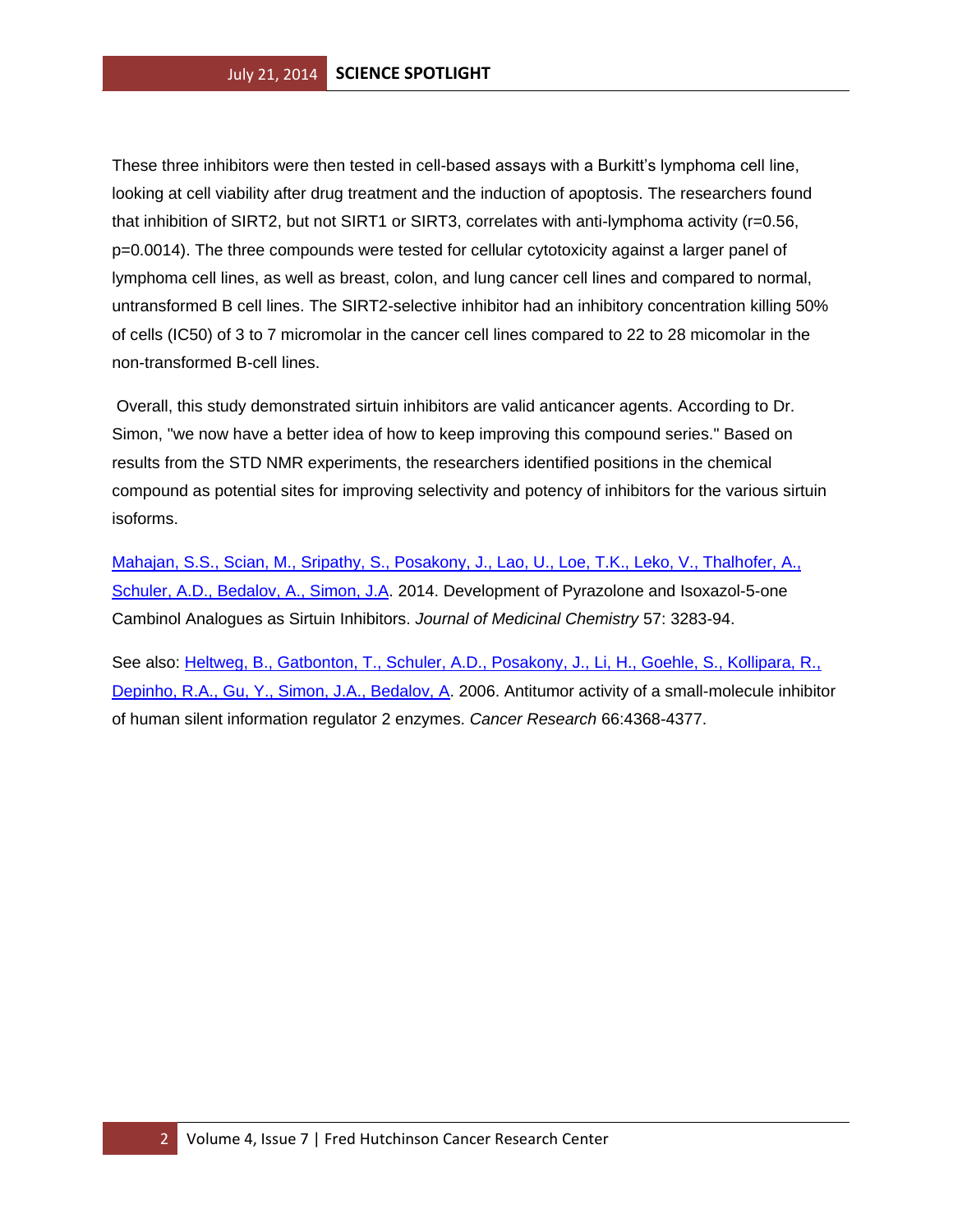These three inhibitors were then tested in cell-based assays with a Burkitt's lymphoma cell line, looking at cell viability after drug treatment and the induction of apoptosis. The researchers found that inhibition of SIRT2, but not SIRT1 or SIRT3, correlates with anti-lymphoma activity (r=0.56, p=0.0014). The three compounds were tested for cellular cytotoxicity against a larger panel of lymphoma cell lines, as well as breast, colon, and lung cancer cell lines and compared to normal, untransformed B cell lines. The SIRT2-selective inhibitor had an inhibitory concentration killing 50% of cells (IC50) of 3 to 7 micromolar in the cancer cell lines compared to 22 to 28 micomolar in the non-transformed B-cell lines.

Overall, this study demonstrated sirtuin inhibitors are valid anticancer agents. According to Dr. Simon, "we now have a better idea of how to keep improving this compound series." Based on results from the STD NMR experiments, the researchers identified positions in the chemical compound as potential sites for improving selectivity and potency of inhibitors for the various sirtuin isoforms.

[Mahajan, S.S., Scian, M., Sripathy, S., Posakony, J., Lao, U., Loe, T.K., Leko, V., Thalhofer, A.,](http://www.ncbi.nlm.nih.gov/pubmed/24697269?otool=fhcrclib)  [Schuler, A.D., Bedalov, A., Simon, J.A.](http://www.ncbi.nlm.nih.gov/pubmed/24697269?otool=fhcrclib) 2014. Development of Pyrazolone and Isoxazol-5-one Cambinol Analogues as Sirtuin Inhibitors. *Journal of Medicinal Chemistry* 57: 3283-94.

See also: Heltweg, B., Gatbonton, T., Schuler, A.D., Posakony, J., Li, H., Goehle, S., Kollipara, R., [Depinho, R.A., Gu, Y., Simon, J.A., Bedalov, A.](http://www.ncbi.nlm.nih.gov/pubmed/16618762?otool=fhcrclib) 2006. Antitumor activity of a small-molecule inhibitor of human silent information regulator 2 enzymes. *Cancer Research* 66:4368-4377.